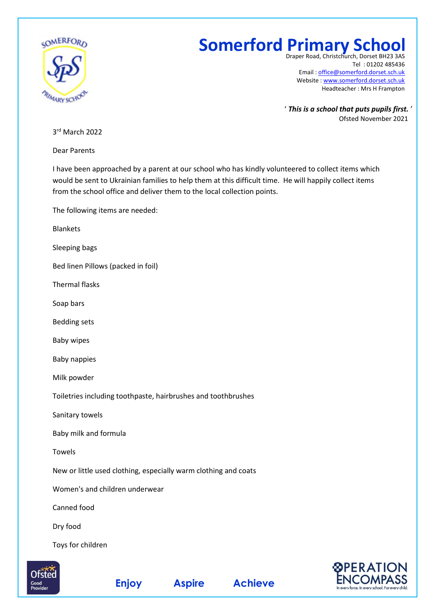

## **Somerford Primary School**

Draper Road, Christchurch, Dorset BH23 3AS Tel : 01202 485436 Email : [office@somerford.dorset.sch.uk](mailto:office@somerford.dorset.sch.uk) Website : [www.somerford.dorset.sch.uk](http://www.somerford.dorset.sch.uk/) Headteacher : Mrs H Frampton

' *This is a school that puts pupils first.* ' Ofsted November 2021

3 rd March 2022

Dear Parents

I have been approached by a parent at our school who has kindly volunteered to collect items which would be sent to Ukrainian families to help them at this difficult time. He will happily collect items from the school office and deliver them to the local collection points.

The following items are needed:

Blankets

Sleeping bags

Bed linen Pillows (packed in foil)

Thermal flasks

Soap bars

Bedding sets

Baby wipes

Baby nappies

Milk powder

Toiletries including toothpaste, hairbrushes and toothbrushes

Sanitary towels

Baby milk and formula

Towels

New or little used clothing, especially warm clothing and coats

Women's and children underwear

Canned food

Dry food

Toys for children